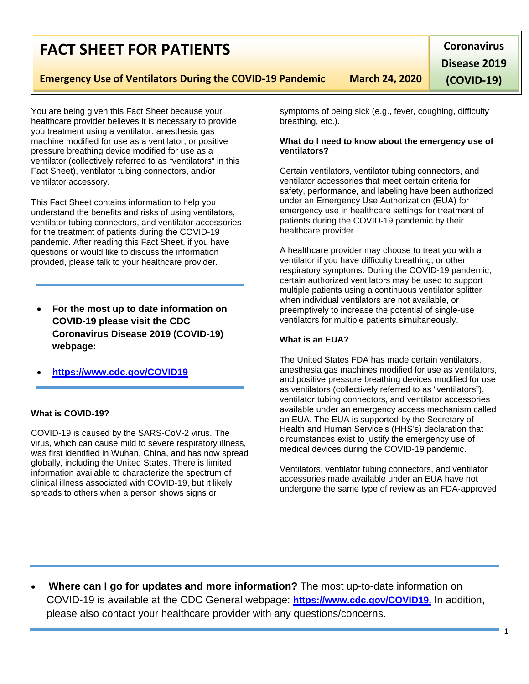# • **Where can I go for updates and more information?** The most up-to-date information on COVID-19 is available at the CDC General webpage: **[https://www.cdc.gov/COVID19.](https://www.cdc.gov/nCoV)** In addition, please also contact your healthcare provider with any questions/concerns.

You are being given this Fact Sheet because your

healthcare provider believes it is necessary to provide you treatment using a ventilator, anesthesia gas machine modified for use as a ventilator, or positive pressure breathing device modified for use as a ventilator (collectively referred to as "ventilators" in this Fact Sheet), ventilator tubing connectors, and/or ventilator accessory.

This Fact Sheet contains information to help you understand the benefits and risks of using ventilators, ventilator tubing connectors, and ventilator accessories for the treatment of patients during the COVID-19 pandemic. After reading this Fact Sheet, if you have questions or would like to discuss the information provided, please talk to your healthcare provider.

- **For the most up to date information on COVID-19 please visit the CDC Coronavirus Disease 2019 (COVID-19) webpage:**
- **[https://www.cdc.gov/COVID19](https://www.cdc.gov/nCoV)**

## **What is COVID-19?**

COVID-19 is caused by the SARS-CoV-2 virus. The virus, which can cause mild to severe respiratory illness, was first identified in Wuhan, China, and has now spread globally, including the United States. There is limited information available to characterize the spectrum of clinical illness associated with COVID-19, but it likely spreads to others when a person shows signs or

symptoms of being sick (e.g., fever, coughing, difficulty breathing, etc.).

#### **What do I need to know about the emergency use of ventilators?**

Certain ventilators, ventilator tubing connectors, and ventilator accessories that meet certain criteria for safety, performance, and labeling have been authorized under an Emergency Use Authorization (EUA) for emergency use in healthcare settings for treatment of patients during the COVID-19 pandemic by their healthcare provider.

A healthcare provider may choose to treat you with a ventilator if you have difficulty breathing, or other respiratory symptoms. During the COVID-19 pandemic, certain authorized ventilators may be used to support multiple patients using a continuous ventilator splitter when individual ventilators are not available, or preemptively to increase the potential of single-use ventilators for multiple patients simultaneously.

## **What is an EUA?**

The United States FDA has made certain ventilators, anesthesia gas machines modified for use as ventilators, and positive pressure breathing devices modified for use as ventilators (collectively referred to as "ventilators"), ventilator tubing connectors, and ventilator accessories available under an emergency access mechanism called an EUA. The EUA is supported by the Secretary of Health and Human Service's (HHS's) declaration that circumstances exist to justify the emergency use of medical devices during the COVID-19 pandemic.

Ventilators, ventilator tubing connectors, and ventilator accessories made available under an EUA have not undergone the same type of review as an FDA-approved



**Coronavirus Disease 2019 (COVID-19)**

1

**Emergency Use of Ventilators During the COVID-19 Pandemic March 24, 2020**